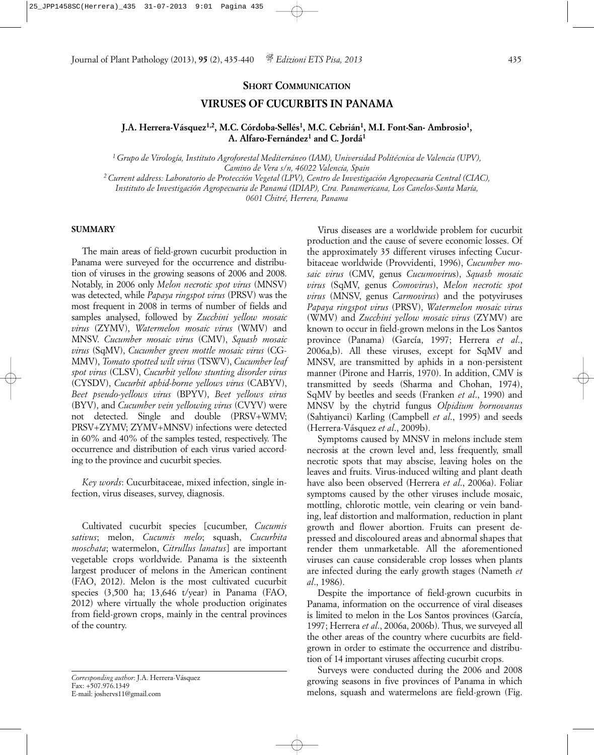#### **SHORT COMMUNICATION**

# **VIRUSES OF CUCURBITS IN PANAMA**

# **J.A. Herrera-Vásquez1,2, M.C. Córdoba-Sellés1, M.C. Cebrián1, M.I. Font-San- Ambrosio1, A. Alfaro-Fernández1 and C. Jordá1**

*1 Grupo de Virología, Instituto Agroforestal Mediterráneo (IAM), Universidad Politécnica de Valencia (UPV), Camino de Vera s/n, 46022 Valencia, Spain*

*2 Current address: Laboratorio de Protección Vegetal (LPV), Centro de Investigación Agropecuaria Central (CIAC), Instituto de Investigación Agropecuaria de Panamá (IDIAP), Ctra. Panamericana, Los Canelos-Santa María,* 

*0601 Chitré, Herrera, Panama*

### **SUMMARY**

The main areas of field-grown cucurbit production in Panama were surveyed for the occurrence and distribution of viruses in the growing seasons of 2006 and 2008. Notably, in 2006 only *Melon necrotic spot virus* (MNSV) was detected, while *Papaya ringspot virus* (PRSV) was the most frequent in 2008 in terms of number of fields and samples analysed, followed by *Zucchini yellow mosaic virus* (ZYMV), *Watermelon mosaic virus* (WMV) and MNSV. *Cucumber mosaic virus* (CMV), *Squash mosaic virus* (SqMV), *Cucumber green mottle mosaic virus* (CG-MMV), *Tomato spotted wilt virus* (TSWV), *Cucumber leaf spot virus* (CLSV), *Cucurbit yellow stunting disorder virus* (CYSDV), *Cucurbit aphid-borne yellows virus* (CABYV), *Beet pseudo-yellows virus* (BPYV), *Beet yellows virus* (BYV), and *Cucumber vein yellowing virus* (CVYV) were not detected. Single and double (PRSV+WMV; PRSV+ZYMV; ZYMV+MNSV) infections were detected in 60% and 40% of the samples tested, respectively. The occurrence and distribution of each virus varied according to the province and cucurbit species.

*Key words*: Cucurbitaceae, mixed infection, single infection, virus diseases, survey, diagnosis.

Cultivated cucurbit species [cucumber, *Cucumis sativus*; melon, *Cucumis melo*; squash, *Cucurbita moschata*; watermelon, *Citrullus lanatus*] are important vegetable crops worldwide. Panama is the sixteenth largest producer of melons in the American continent (FAO, 2012). Melon is the most cultivated cucurbit species (3,500 ha; 13,646 t/year) in Panama (FAO, 2012) where virtually the whole production originates from field-grown crops, mainly in the central provinces of the country.

*Corresponding author*: J.A. Herrera-Vásquez Fax: +507.976.1349 E-mail: joshervs11@gmail.com

Virus diseases are a worldwide problem for cucurbit production and the cause of severe economic losses. Of the approximately 35 different viruses infecting Cucurbitaceae worldwide (Provvidenti, 1996), *Cucumber mosaic virus* (CMV, genus *Cucumoviru*s), *Squash mosaic virus* (SqMV, genus *Comovirus*), *Melon necrotic spot virus* (MNSV, genus *Carmovirus*) and the potyviruses *Papaya ringspot virus* (PRSV), *Watermelon mosaic virus* (WMV) and *Zucchini yellow mosaic virus* (ZYMV) are known to occur in field-grown melons in the Los Santos province (Panama) (García, 1997; Herrera *et al*., 2006a,b). All these viruses, except for SqMV and MNSV, are transmitted by aphids in a non-persistent manner (Pirone and Harris, 1970). In addition, CMV is transmitted by seeds (Sharma and Chohan, 1974), SqMV by beetles and seeds (Franken *et al*., 1990) and MNSV by the chytrid fungus *Olpidium bornovanus* (Sahtiyanci) Karling (Campbell *et al*., 1995) and seeds (Herrera-Vásquez *et al*., 2009b).

Symptoms caused by MNSV in melons include stem necrosis at the crown level and, less frequently, small necrotic spots that may abscise, leaving holes on the leaves and fruits. Virus-induced wilting and plant death have also been observed (Herrera *et al*., 2006a). Foliar symptoms caused by the other viruses include mosaic, mottling, chlorotic mottle, vein clearing or vein banding, leaf distortion and malformation, reduction in plant growth and flower abortion. Fruits can present depressed and discoloured areas and abnormal shapes that render them unmarketable. All the aforementioned viruses can cause considerable crop losses when plants are infected during the early growth stages (Nameth *et al*., 1986).

Despite the importance of field-grown cucurbits in Panama, information on the occurrence of viral diseases is limited to melon in the Los Santos provinces (García, 1997; Herrera *et al*., 2006a, 2006b). Thus, we surveyed all the other areas of the country where cucurbits are fieldgrown in order to estimate the occurrence and distribution of 14 important viruses affecting cucurbit crops.

Surveys were conducted during the 2006 and 2008 growing seasons in five provinces of Panama in which melons, squash and watermelons are field-grown (Fig.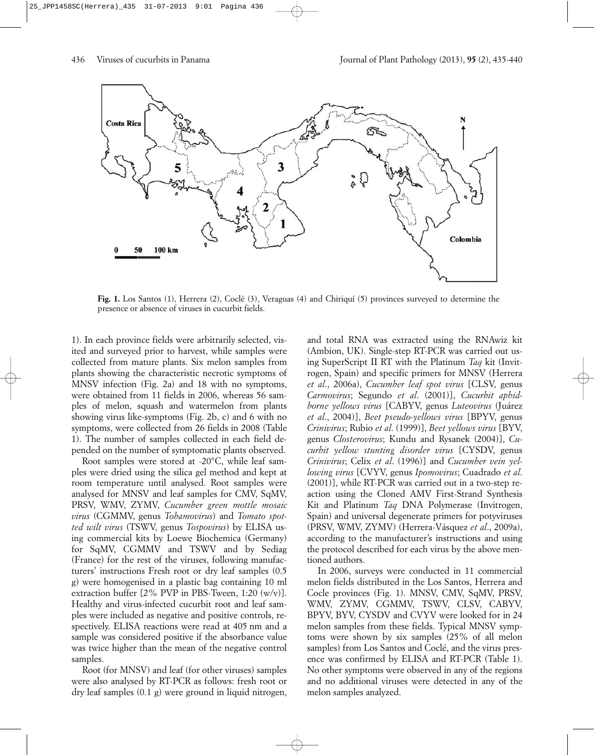

**Fig. 1.** Los Santos (1), Herrera (2), Coclé (3), Veraguas (4) and Chiriquí (5) provinces surveyed to determine the presence or absence of viruses in cucurbit fields.

1). In each province fields were arbitrarily selected, visited and surveyed prior to harvest, while samples were collected from mature plants. Six melon samples from plants showing the characteristic necrotic symptoms of MNSV infection (Fig. 2a) and 18 with no symptoms, were obtained from 11 fields in 2006, whereas 56 samples of melon, squash and watermelon from plants showing virus like-symptoms (Fig. 2b, c) and 6 with no symptoms, were collected from 26 fields in 2008 (Table 1). The number of samples collected in each field depended on the number of symptomatic plants observed.

Root samples were stored at -20°C, while leaf samples were dried using the silica gel method and kept at room temperature until analysed. Root samples were analysed for MNSV and leaf samples for CMV, SqMV, PRSV, WMV, ZYMV, *Cucumber green mottle mosaic virus* (CGMMV, genus *Tobamovirus*) and *Tomato spotted wilt virus* (TSWV, genus *Tospovirus*) by ELISA using commercial kits by Loewe Biochemica (Germany) for SqMV, CGMMV and TSWV and by Sediag (France) for the rest of the viruses, following manufacturers' instructions Fresh root or dry leaf samples (0.5 g) were homogenised in a plastic bag containing 10 ml extraction buffer  $[2\%$  PVP in PBS-Tween, 1:20 (w/v)]. Healthy and virus-infected cucurbit root and leaf samples were included as negative and positive controls, respectively. ELISA reactions were read at 405 nm and a sample was considered positive if the absorbance value was twice higher than the mean of the negative control samples.

Root (for MNSV) and leaf (for other viruses) samples were also analysed by RT-PCR as follows: fresh root or dry leaf samples (0.1 g) were ground in liquid nitrogen,

and total RNA was extracted using the RNAwiz kit (Ambion, UK). Single-step RT-PCR was carried out using SuperScript II RT with the Platinum *Taq* kit (Invitrogen, Spain) and specific primers for MNSV (Herrera *et al*., 2006a), *Cucumber leaf spot virus* [CLSV, genus *Carmovirus*; Segundo *et al*. (2001)], *Cucurbit aphidborne yellows virus* [CABYV, genus *Luteovirus* (Juárez *et al*., 2004)], *Beet pseudo-yellows virus* [BPYV, genus *Crinivirus*; Rubio *et al*. (1999)], *Beet yellows virus* [BYV, genus *Closterovirus*; Kundu and Rysanek (2004)], *Cucurbit yellow stunting disorder virus* [CYSDV, genus *Crinivirus*; Celix *et al*. (1996)] and *Cucumber vein yellowing virus* [CVYV, genus *Ipomovirus*; Cuadrado *et al*. (2001)], while RT-PCR was carried out in a two-step reaction using the Cloned AMV First-Strand Synthesis Kit and Platinum *Taq* DNA Polymerase (Invitrogen, Spain) and universal degenerate primers for potyviruses (PRSV, WMV, ZYMV) (Herrera-Vásquez *et al*., 2009a), according to the manufacturer's instructions and using the protocol described for each virus by the above mentioned authors.

In 2006, surveys were conducted in 11 commercial melon fields distributed in the Los Santos, Herrera and Cocle provinces (Fig. 1). MNSV, CMV, SqMV, PRSV, WMV, ZYMV, CGMMV, TSWV, CLSV, CABYV, BPYV, BYV, CYSDV and CVYV were looked for in 24 melon samples from these fields. Typical MNSV symptoms were shown by six samples (25% of all melon samples) from Los Santos and Coclé, and the virus presence was confirmed by ELISA and RT-PCR (Table 1). No other symptoms were observed in any of the regions and no additional viruses were detected in any of the melon samples analyzed.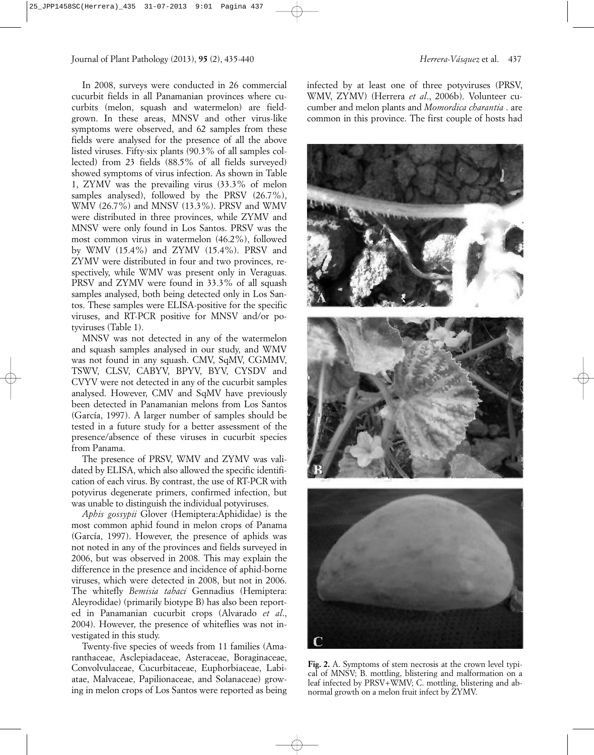In 2008, surveys were conducted in 26 commercial cucurbit fields in all Panamanian provinces where cucurbits (melon, squash and watermelon) are fieldgrown. In these areas, MNSV and other virus-like symptoms were observed, and 62 samples from these fields were analysed for the presence of all the above listed viruses. Fifty-six plants (90.3% of all samples collected) from 23 fields (88.5% of all fields surveyed) showed symptoms of virus infection. As shown in Table 1, ZYMV was the prevailing virus (33.3% of melon samples analysed), followed by the PRSV (26.7%), WMV (26.7%) and MNSV (13.3%). PRSV and WMV were distributed in three provinces, while ZYMV and MNSV were only found in Los Santos. PRSV was the most common virus in watermelon (46.2%), followed by WMV (15.4%) and ZYMV (15.4%). PRSV and ZYMV were distributed in four and two provinces, respectively, while WMV was present only in Veraguas. PRSV and ZYMV were found in 33.3% of all squash samples analysed, both being detected only in Los Santos. These samples were ELISA-positive for the specific viruses, and RT-PCR positive for MNSV and/or potyviruses (Table 1).

MNSV was not detected in any of the watermelon and squash samples analysed in our study, and WMV was not found in any squash. CMV, SqMV, CGMMV, TSWV, CLSV, CABYV, BPYV, BYV, CYSDV and CVYV were not detected in any of the cucurbit samples analysed. However, CMV and SqMV have previously been detected in Panamanian melons from Los Santos (García, 1997). A larger number of samples should be tested in a future study for a better assessment of the presence/absence of these viruses in cucurbit species from Panama.

The presence of PRSV, WMV and ZYMV was validated by ELISA, which also allowed the specific identification of each virus. By contrast, the use of RT-PCR with potyvirus degenerate primers, confirmed infection, but was unable to distinguish the individual potyviruses.

*Aphis gossypii* Glover (Hemiptera:Aphididae) is the most common aphid found in melon crops of Panama (García, 1997). However, the presence of aphids was not noted in any of the provinces and fields surveyed in 2006, but was observed in 2008. This may explain the difference in the presence and incidence of aphid-borne viruses, which were detected in 2008, but not in 2006. The whitefly *Bemisia tabaci* Gennadius (Hemiptera: Aleyrodidae) (primarily biotype B) has also been reported in Panamanian cucurbit crops (Alvarado *et al*., 2004). However, the presence of whiteflies was not investigated in this study.

Twenty-five species of weeds from 11 families (Amaranthaceae, Asclepiadaceae, Asteraceae, Boraginaceae, Convolvulaceae, Cucurbitaceae, Euphorbiaceae, Labiatae, Malvaceae, Papilionaceae, and Solanaceae) growing in melon crops of Los Santos were reported as being

infected by at least one of three potyviruses (PRSV, WMV, ZYMV) (Herrera *et al*., 2006b). Volunteer cucumber and melon plants and *Momordica charantia* . are common in this province. The first couple of hosts had



**Fig. 2.** A. Symptoms of stem necrosis at the crown level typical of MNSV; B. mottling, blistering and malformation on a leaf infected by PRSV+WMV; C. mottling, blistering and abnormal growth on a melon fruit infect by ZYMV.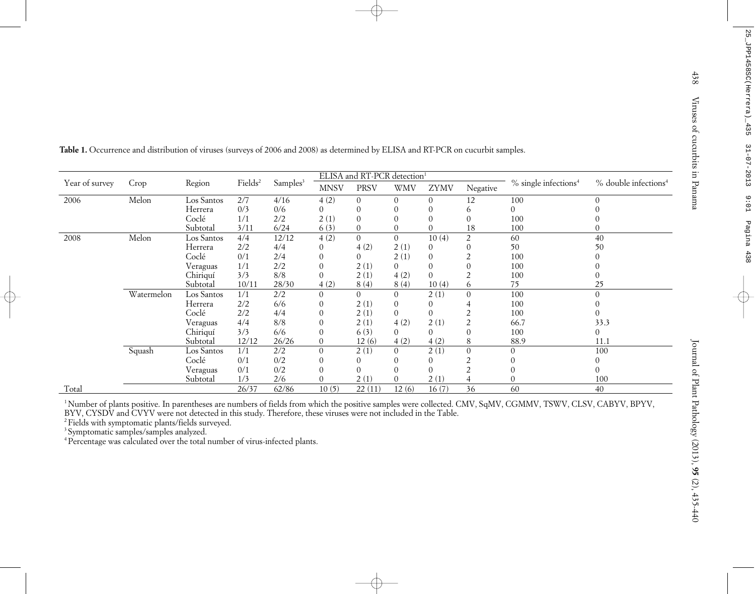| Year of survey | Crop       | Region     | Fields <sup>2</sup> | Samples <sup>3</sup> | ELISA and RT-PCR detection <sup>1</sup> |                |                |                |                  |                                    |                                  |
|----------------|------------|------------|---------------------|----------------------|-----------------------------------------|----------------|----------------|----------------|------------------|------------------------------------|----------------------------------|
|                |            |            |                     |                      | <b>MNSV</b>                             | <b>PRSV</b>    | <b>WMV</b>     | <b>ZYMV</b>    | Negative         | $%$ single infections <sup>4</sup> | % double infections <sup>4</sup> |
| 2006           | Melon      | Los Santos | $\overline{2/7}$    | 4/16                 | 4(2)                                    | $\Omega$       | $\overline{0}$ | $\overline{0}$ | 12               | 100                                | $\Omega$                         |
|                |            | Herrera    | 0/3                 | 0/6                  | $\Omega$                                | $\Omega$       | $\Omega$       | $\Omega$       | 6                | $\overline{0}$                     |                                  |
|                |            | Coclé      | 1/1                 | 2/2                  | 2(1)                                    | $\Omega$       |                |                | $\Omega$         | 100                                |                                  |
|                |            | Subtotal   | 3/11                | 6/24                 | 6(3)                                    | $\Omega$       | $\Omega$       | $\Omega$       | 18               | 100                                | $\Omega$                         |
| 2008           | Melon      | Los Santos | 4/4                 | 12/12                | 4(2)                                    | $\Omega$       | $\mathbf{0}$   | 10(4)          | $\overline{2}$   | 60                                 | 40                               |
|                |            | Herrera    | 2/2                 | 4/4                  | $\Omega$                                | 4(2)           | 2(1)           | $\overline{0}$ | $\mathbf{0}$     | 50                                 | 50                               |
|                |            | Coclé      | 0/1                 | 2/4                  | $\Omega$                                | $\overline{0}$ | 2(1)           | $\Omega$       | $\overline{2}$   | 100                                | $\Omega$                         |
|                |            | Veraguas   | 1/1                 | 2/2                  | $\theta$                                | 2(1)           | $\mathbf{0}$   | $\Omega$       | $\boldsymbol{0}$ | 100                                | 0                                |
|                |            | Chiriquí   | 3/3                 | 8/8                  | $\overline{0}$                          | 2(1)           | 4(2)           | $\Omega$       | $\overline{2}$   | 100                                | $\Omega$                         |
|                |            | Subtotal   | 10/11               | 28/30                | 4(2)                                    | 8(4)           | 8(4)           | 10(4)          | 6                | 75                                 | 25                               |
|                | Watermelon | Los Santos | 1/1                 | 2/2                  | $\Omega$                                | $\Omega$       | $\Omega$       | 2(1)           | $\Omega$         | 100                                | $\Omega$                         |
|                |            | Herrera    | 2/2                 | 6/6                  | $\theta$                                | 2(1)           | $\overline{0}$ | $\Omega$       |                  | 100                                | 0                                |
|                |            | Coclé      | 2/2                 | 4/4                  | $\Omega$                                | 2(1)           | $\Omega$       | $\Omega$       | 2                | 100                                | $\Omega$                         |
|                |            | Veraguas   | 4/4                 | 8/8                  | $\theta$                                | 2(1)           | 4(2)           | 2(1)           | $\overline{2}$   | 66.7                               | 33.3                             |
|                |            | Chiriquí   | 3/3                 | 6/6                  | $\overline{0}$                          | 6(3)           | $\overline{0}$ | $\Omega$       | $\overline{0}$   | 100                                | $\Omega$                         |
|                |            | Subtotal   | 12/12               | 26/26                | $\mathbf{0}$                            | 12(6)          | 4(2)           | 4(2)           | 8                | 88.9                               | 11.1                             |
|                | Squash     | Los Santos | 1/1                 | $\overline{2/2}$     | $\boldsymbol{0}$                        | 2(1)           | $\Omega$       | 2(1)           | $\boldsymbol{0}$ | $\Omega$                           | 100                              |
|                |            | Coclé      | 0/1                 | 0/2                  | $\Omega$                                |                | 0              | $\Omega$       | 2                | $\Omega$                           | $\Omega$                         |
|                |            | Veraguas   | 0/1                 | 0/2                  | $\Omega$                                | 0              |                | $\Omega$       | $\overline{2}$   | $\Omega$                           | $\Omega$                         |
|                |            | Subtotal   | 1/3                 | 2/6                  | $\theta$                                | 2(1)           | $\theta$       | 2(1)           |                  | $\theta$                           | 100                              |
| Total          |            |            | 26/37               | 62/86                | 10(5)                                   | 22(11)         | 12(6)          | 16(7)          | $\overline{36}$  | 60                                 | 40                               |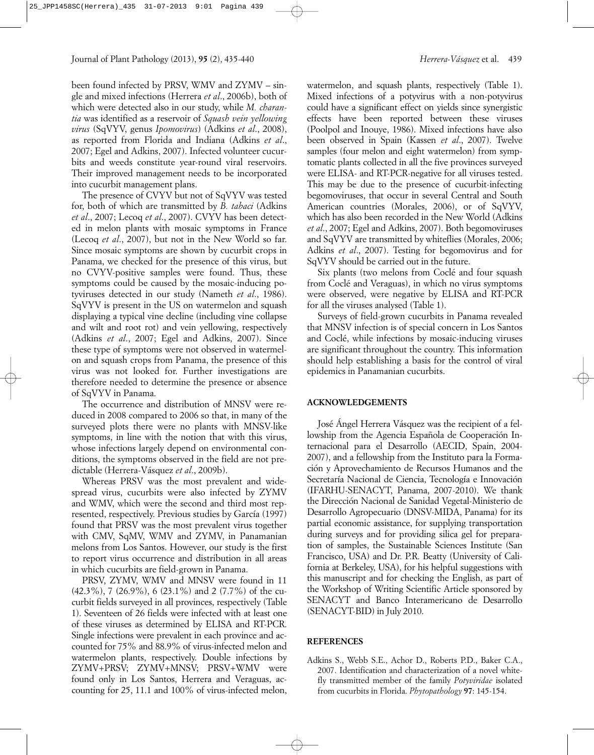been found infected by PRSV, WMV and ZYMV – single and mixed infections (Herrera *et al*., 2006b), both of which were detected also in our study, while *M. charantia* was identified as a reservoir of *Squash vein yellowing virus* (SqVYV, genus *Ipomovirus*) (Adkins *et al*., 2008), as reported from Florida and Indiana (Adkins *et al*., 2007; Egel and Adkins, 2007). Infected volunteer cucurbits and weeds constitute year-round viral reservoirs. Their improved management needs to be incorporated into cucurbit management plans.

The presence of CVYV but not of SqVYV was tested for, both of which are transmitted by *B. tabaci* (Adkins *et al*., 2007; Lecoq *et al*., 2007). CVYV has been detected in melon plants with mosaic symptoms in France (Lecoq *et al*., 2007), but not in the New World so far. Since mosaic symptoms are shown by cucurbit crops in Panama, we checked for the presence of this virus, but no CVYV-positive samples were found. Thus, these symptoms could be caused by the mosaic-inducing potyviruses detected in our study (Nameth *et al*., 1986). SqVYV is present in the US on watermelon and squash displaying a typical vine decline (including vine collapse and wilt and root rot) and vein yellowing, respectively (Adkins *et al*., 2007; Egel and Adkins, 2007). Since these type of symptoms were not observed in watermelon and squash crops from Panama, the presence of this virus was not looked for. Further investigations are therefore needed to determine the presence or absence of SqVYV in Panama.

The occurrence and distribution of MNSV were reduced in 2008 compared to 2006 so that, in many of the surveyed plots there were no plants with MNSV-like symptoms, in line with the notion that with this virus, whose infections largely depend on environmental conditions, the symptoms observed in the field are not predictable (Herrera-Vásquez *et al*., 2009b).

Whereas PRSV was the most prevalent and widespread virus, cucurbits were also infected by ZYMV and WMV, which were the second and third most represented, respectively. Previous studies by García (1997) found that PRSV was the most prevalent virus together with CMV, SqMV, WMV and ZYMV, in Panamanian melons from Los Santos. However, our study is the first to report virus occurrence and distribution in all areas in which cucurbits are field-grown in Panama.

PRSV, ZYMV, WMV and MNSV were found in 11 (42.3%), 7 (26.9%), 6 (23.1%) and 2 (7.7%) of the cucurbit fields surveyed in all provinces, respectively (Table 1). Seventeen of 26 fields were infected with at least one of these viruses as determined by ELISA and RT-PCR. Single infections were prevalent in each province and accounted for 75% and 88.9% of virus-infected melon and watermelon plants, respectively. Double infections by ZYMV+PRSV; ZYMV+MNSV; PRSV+WMV were found only in Los Santos, Herrera and Veraguas, accounting for 25, 11.1 and 100% of virus-infected melon,

watermelon, and squash plants, respectively (Table 1). Mixed infections of a potyvirus with a non-potyvirus could have a significant effect on yields since synergistic effects have been reported between these viruses (Poolpol and Inouye, 1986). Mixed infections have also been observed in Spain (Kassen *et al*., 2007). Twelve samples (four melon and eight watermelon) from symptomatic plants collected in all the five provinces surveyed were ELISA- and RT-PCR-negative for all viruses tested. This may be due to the presence of cucurbit-infecting begomoviruses, that occur in several Central and South American countries (Morales, 2006), or of SqVYV, which has also been recorded in the New World (Adkins *et al*., 2007; Egel and Adkins, 2007). Both begomoviruses and SqVYV are transmitted by whiteflies (Morales, 2006; Adkins *et al*., 2007). Testing for begomovirus and for SqVYV should be carried out in the future.

Six plants (two melons from Coclé and four squash from Coclé and Veraguas), in which no virus symptoms were observed, were negative by ELISA and RT-PCR for all the viruses analysed (Table 1).

Surveys of field-grown cucurbits in Panama revealed that MNSV infection is of special concern in Los Santos and Coclé, while infections by mosaic-inducing viruses are significant throughout the country. This information should help establishing a basis for the control of viral epidemics in Panamanian cucurbits.

### **ACKNOWLEDGEMENTS**

José Ángel Herrera Vásquez was the recipient of a fellowship from the Agencia Española de Cooperación Internacional para el Desarrollo (AECID, Spain, 2004- 2007), and a fellowship from the Instituto para la Formación y Aprovechamiento de Recursos Humanos and the Secretaría Nacional de Ciencia, Tecnología e Innovación (IFARHU-SENACYT, Panama, 2007-2010). We thank the Dirección Nacional de Sanidad Vegetal-Ministerio de Desarrollo Agropecuario (DNSV-MIDA, Panama) for its partial economic assistance, for supplying transportation during surveys and for providing silica gel for preparation of samples, the Sustainable Sciences Institute (San Francisco, USA) and Dr. P.R. Beatty (University of California at Berkeley, USA), for his helpful suggestions with this manuscript and for checking the English, as part of the Workshop of Writing Scientific Article sponsored by SENACYT and Banco Interamericano de Desarrollo (SENACYT-BID) in July 2010.

## **REFERENCES**

Adkins S., Webb S.E., Achor D., Roberts P.D., Baker C.A., 2007. Identification and characterization of a novel whitefly transmitted member of the family *Potyviridae* isolated from cucurbits in Florida. *Phytopathology* **97**: 145-154.